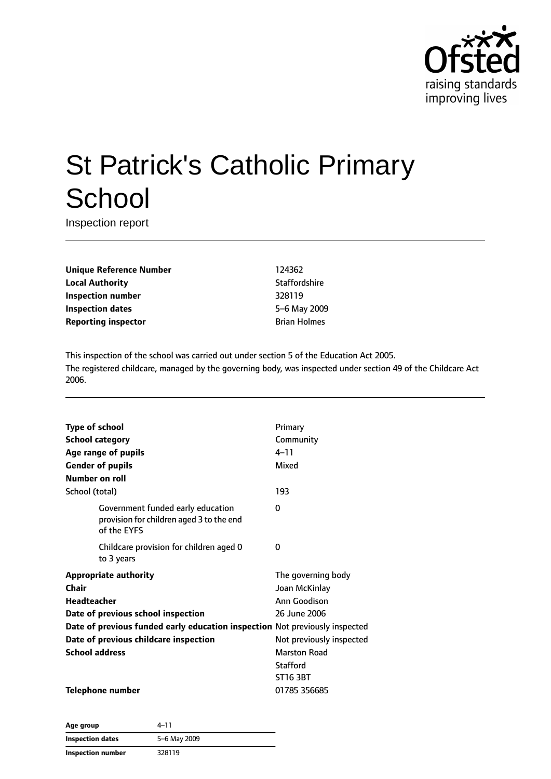

# St Patrick's Catholic Primary **School**

Inspection report

**Unique Reference Number** 124362 **Local Authority Contract Contract Contract Contract Contract Contract Contract Contract Contract Contract Contract Contract Contract Contract Contract Contract Contract Contract Contract Contract Contract Contract Contr Inspection number** 328119 **Inspection dates** 5–6 May 2009 **Reporting inspector Brian Holmes Brian Holmes** 

This inspection of the school was carried out under section 5 of the Education Act 2005. The registered childcare, managed by the governing body, was inspected under section 49 of the Childcare Act 2006.

| <b>Type of school</b>                                                                        | Primary                  |
|----------------------------------------------------------------------------------------------|--------------------------|
| <b>School category</b>                                                                       | Community                |
| Age range of pupils                                                                          | $4 - 11$                 |
| <b>Gender of pupils</b>                                                                      | Mixed                    |
| Number on roll                                                                               |                          |
| School (total)                                                                               | 193                      |
| Government funded early education<br>provision for children aged 3 to the end<br>of the EYFS | 0                        |
| Childcare provision for children aged 0<br>to 3 years                                        | 0                        |
| <b>Appropriate authority</b>                                                                 | The governing body       |
| Chair                                                                                        | Joan McKinlay            |
| Headteacher                                                                                  | Ann Goodison             |
| Date of previous school inspection                                                           | 26 June 2006             |
| Date of previous funded early education inspection Not previously inspected                  |                          |
| Date of previous childcare inspection                                                        | Not previously inspected |
| <b>School address</b>                                                                        | <b>Marston Road</b>      |
|                                                                                              | <b>Stafford</b>          |
|                                                                                              | <b>ST16 3BT</b>          |
| <b>Telephone number</b>                                                                      | 01785 356685             |

**Age group** 4–11 **Inspection dates** 5–6 May 2009 **Inspection number** 328119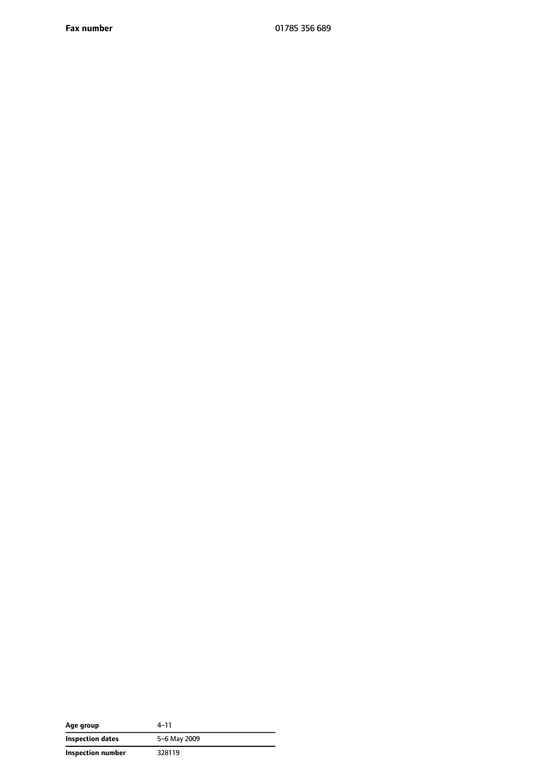**Fax number** 01785 356 689

| Age group         | $4 - 11$     |
|-------------------|--------------|
| Inspection dates  | 5-6 May 2009 |
| Inspection number | 328119       |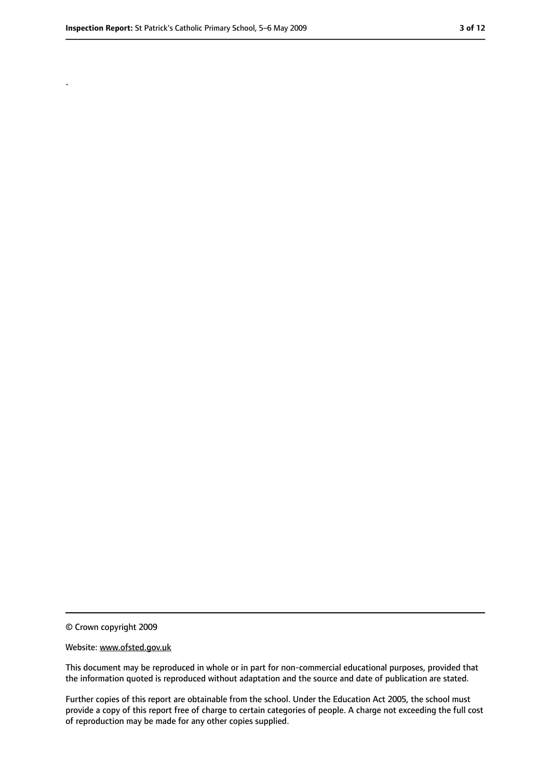.

<sup>©</sup> Crown copyright 2009

Website: www.ofsted.gov.uk

This document may be reproduced in whole or in part for non-commercial educational purposes, provided that the information quoted is reproduced without adaptation and the source and date of publication are stated.

Further copies of this report are obtainable from the school. Under the Education Act 2005, the school must provide a copy of this report free of charge to certain categories of people. A charge not exceeding the full cost of reproduction may be made for any other copies supplied.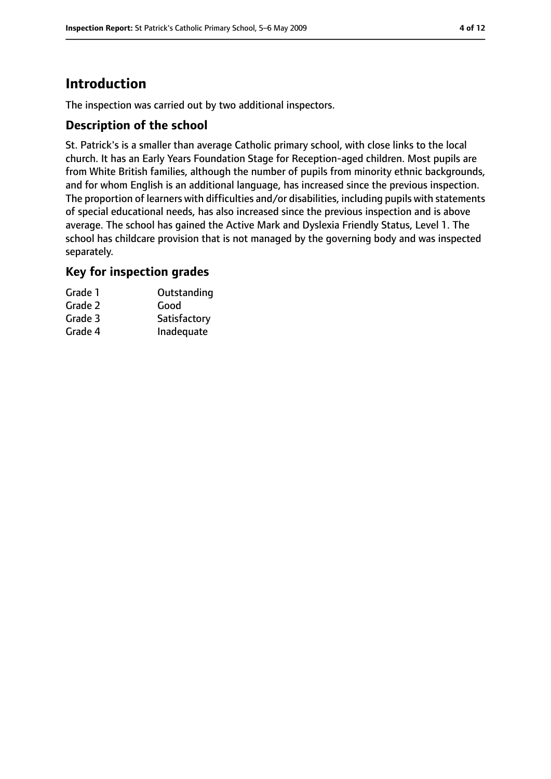# **Introduction**

The inspection was carried out by two additional inspectors.

## **Description of the school**

St. Patrick's is a smaller than average Catholic primary school, with close links to the local church. It has an Early Years Foundation Stage for Reception-aged children. Most pupils are from White British families, although the number of pupils from minority ethnic backgrounds, and for whom English is an additional language, has increased since the previous inspection. The proportion of learners with difficulties and/or disabilities, including pupils with statements of special educational needs, has also increased since the previous inspection and is above average. The school has gained the Active Mark and Dyslexia Friendly Status, Level 1. The school has childcare provision that is not managed by the governing body and was inspected separately.

## **Key for inspection grades**

| Grade 1 | Outstanding  |
|---------|--------------|
| Grade 2 | Good         |
| Grade 3 | Satisfactory |
| Grade 4 | Inadequate   |
|         |              |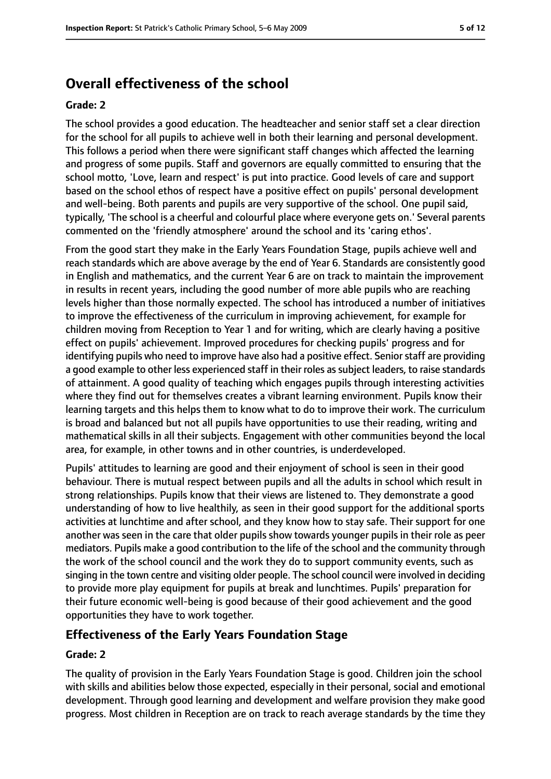# **Overall effectiveness of the school**

#### **Grade: 2**

The school provides a good education. The headteacher and senior staff set a clear direction for the school for all pupils to achieve well in both their learning and personal development. This follows a period when there were significant staff changes which affected the learning and progress of some pupils. Staff and governors are equally committed to ensuring that the school motto, 'Love, learn and respect' is put into practice. Good levels of care and support based on the school ethos of respect have a positive effect on pupils' personal development and well-being. Both parents and pupils are very supportive of the school. One pupil said, typically, 'The school is a cheerful and colourful place where everyone gets on.' Several parents commented on the 'friendly atmosphere' around the school and its 'caring ethos'.

From the good start they make in the Early Years Foundation Stage, pupils achieve well and reach standards which are above average by the end of Year 6. Standards are consistently good in English and mathematics, and the current Year 6 are on track to maintain the improvement in results in recent years, including the good number of more able pupils who are reaching levels higher than those normally expected. The school has introduced a number of initiatives to improve the effectiveness of the curriculum in improving achievement, for example for children moving from Reception to Year 1 and for writing, which are clearly having a positive effect on pupils' achievement. Improved procedures for checking pupils' progress and for identifying pupils who need to improve have also had a positive effect. Senior staff are providing a good example to other less experienced staff in their roles assubject leaders, to raise standards of attainment. A good quality of teaching which engages pupils through interesting activities where they find out for themselves creates a vibrant learning environment. Pupils know their learning targets and this helps them to know what to do to improve their work. The curriculum is broad and balanced but not all pupils have opportunities to use their reading, writing and mathematical skills in all their subjects. Engagement with other communities beyond the local area, for example, in other towns and in other countries, is underdeveloped.

Pupils' attitudes to learning are good and their enjoyment of school is seen in their good behaviour. There is mutual respect between pupils and all the adults in school which result in strong relationships. Pupils know that their views are listened to. They demonstrate a good understanding of how to live healthily, as seen in their good support for the additional sports activities at lunchtime and after school, and they know how to stay safe. Their support for one another was seen in the care that older pupils show towards younger pupils in their role as peer mediators. Pupils make a good contribution to the life of the school and the community through the work of the school council and the work they do to support community events, such as singing in the town centre and visiting older people. The school council were involved in deciding to provide more play equipment for pupils at break and lunchtimes. Pupils' preparation for their future economic well-being is good because of their good achievement and the good opportunities they have to work together.

#### **Effectiveness of the Early Years Foundation Stage**

#### **Grade: 2**

The quality of provision in the Early Years Foundation Stage is good. Children join the school with skills and abilities below those expected, especially in their personal, social and emotional development. Through good learning and development and welfare provision they make good progress. Most children in Reception are on track to reach average standards by the time they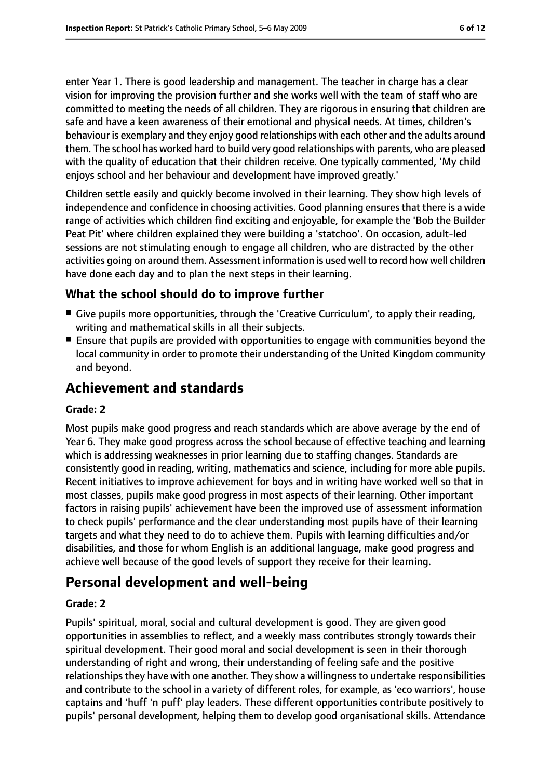enter Year 1. There is good leadership and management. The teacher in charge has a clear vision for improving the provision further and she works well with the team of staff who are committed to meeting the needs of all children. They are rigorous in ensuring that children are safe and have a keen awareness of their emotional and physical needs. At times, children's behaviour is exemplary and they enjoy good relationships with each other and the adults around them. The school has worked hard to build very good relationships with parents, who are pleased with the quality of education that their children receive. One typically commented, 'My child enjoys school and her behaviour and development have improved greatly.'

Children settle easily and quickly become involved in their learning. They show high levels of independence and confidence in choosing activities. Good planning ensures that there is a wide range of activities which children find exciting and enjoyable, for example the 'Bob the Builder Peat Pit' where children explained they were building a 'statchoo'. On occasion, adult-led sessions are not stimulating enough to engage all children, who are distracted by the other activities going on around them. Assessment information is used well to record how well children have done each day and to plan the next steps in their learning.

## **What the school should do to improve further**

- Give pupils more opportunities, through the 'Creative Curriculum', to apply their reading, writing and mathematical skills in all their subjects.
- Ensure that pupils are provided with opportunities to engage with communities beyond the local community in order to promote their understanding of the United Kingdom community and beyond.

# **Achievement and standards**

#### **Grade: 2**

Most pupils make good progress and reach standards which are above average by the end of Year 6. They make good progress across the school because of effective teaching and learning which is addressing weaknesses in prior learning due to staffing changes. Standards are consistently good in reading, writing, mathematics and science, including for more able pupils. Recent initiatives to improve achievement for boys and in writing have worked well so that in most classes, pupils make good progress in most aspects of their learning. Other important factors in raising pupils' achievement have been the improved use of assessment information to check pupils' performance and the clear understanding most pupils have of their learning targets and what they need to do to achieve them. Pupils with learning difficulties and/or disabilities, and those for whom English is an additional language, make good progress and achieve well because of the good levels of support they receive for their learning.

# **Personal development and well-being**

#### **Grade: 2**

Pupils' spiritual, moral, social and cultural development is good. They are given good opportunities in assemblies to reflect, and a weekly mass contributes strongly towards their spiritual development. Their good moral and social development is seen in their thorough understanding of right and wrong, their understanding of feeling safe and the positive relationships they have with one another. They show a willingness to undertake responsibilities and contribute to the school in a variety of different roles, for example, as 'eco warriors', house captains and 'huff 'n puff' play leaders. These different opportunities contribute positively to pupils' personal development, helping them to develop good organisational skills. Attendance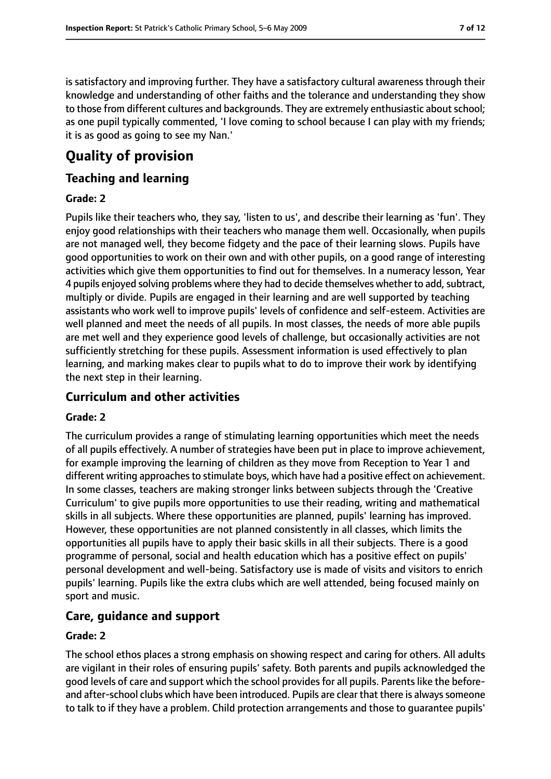is satisfactory and improving further. They have a satisfactory cultural awareness through their knowledge and understanding of other faiths and the tolerance and understanding they show to those from different cultures and backgrounds. They are extremely enthusiastic about school; as one pupil typically commented, 'I love coming to school because I can play with my friends; it is as good as going to see my Nan.'

# **Quality of provision**

## **Teaching and learning**

#### **Grade: 2**

Pupils like their teachers who, they say, 'listen to us', and describe their learning as 'fun'. They enjoy good relationships with their teachers who manage them well. Occasionally, when pupils are not managed well, they become fidgety and the pace of their learning slows. Pupils have good opportunities to work on their own and with other pupils, on a good range of interesting activities which give them opportunities to find out for themselves. In a numeracy lesson, Year 4 pupils enjoyed solving problems where they had to decide themselves whether to add, subtract, multiply or divide. Pupils are engaged in their learning and are well supported by teaching assistants who work well to improve pupils' levels of confidence and self-esteem. Activities are well planned and meet the needs of all pupils. In most classes, the needs of more able pupils are met well and they experience good levels of challenge, but occasionally activities are not sufficiently stretching for these pupils. Assessment information is used effectively to plan learning, and marking makes clear to pupils what to do to improve their work by identifying the next step in their learning.

# **Curriculum and other activities**

#### **Grade: 2**

The curriculum provides a range of stimulating learning opportunities which meet the needs of all pupils effectively. A number of strategies have been put in place to improve achievement, for example improving the learning of children as they move from Reception to Year 1 and different writing approaches to stimulate boys, which have had a positive effect on achievement. In some classes, teachers are making stronger links between subjects through the 'Creative Curriculum' to give pupils more opportunities to use their reading, writing and mathematical skills in all subjects. Where these opportunities are planned, pupils' learning has improved. However, these opportunities are not planned consistently in all classes, which limits the opportunities all pupils have to apply their basic skills in all their subjects. There is a good programme of personal, social and health education which has a positive effect on pupils' personal development and well-being. Satisfactory use is made of visits and visitors to enrich pupils' learning. Pupils like the extra clubs which are well attended, being focused mainly on sport and music.

# **Care, guidance and support**

#### **Grade: 2**

The school ethos places a strong emphasis on showing respect and caring for others. All adults are vigilant in their roles of ensuring pupils' safety. Both parents and pupils acknowledged the good levels of care and support which the school providesfor all pupils. Parentslike the beforeand after-school clubs which have been introduced. Pupils are clear that there is alwayssomeone to talk to if they have a problem. Child protection arrangements and those to guarantee pupils'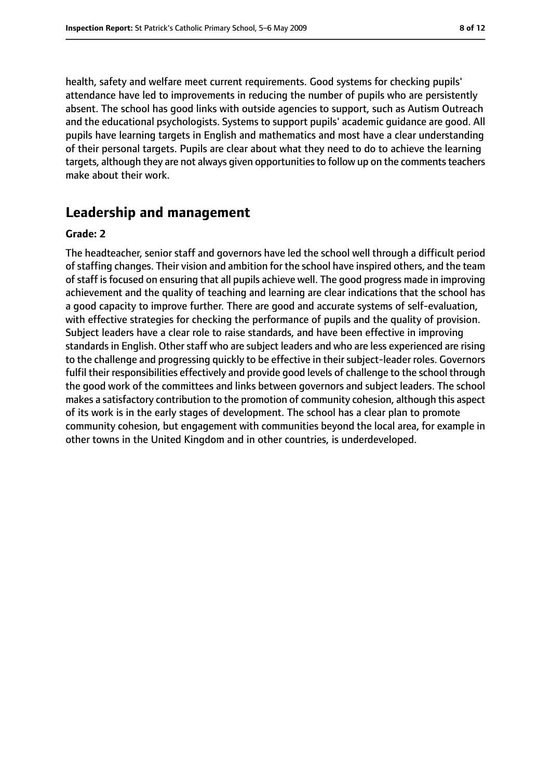health, safety and welfare meet current requirements. Good systems for checking pupils' attendance have led to improvements in reducing the number of pupils who are persistently absent. The school has good links with outside agencies to support, such as Autism Outreach and the educational psychologists. Systems to support pupils' academic guidance are good. All pupils have learning targets in English and mathematics and most have a clear understanding of their personal targets. Pupils are clear about what they need to do to achieve the learning targets, although they are not always given opportunities to follow up on the comments teachers make about their work.

# **Leadership and management**

#### **Grade: 2**

The headteacher, senior staff and governors have led the school well through a difficult period of staffing changes. Their vision and ambition for the school have inspired others, and the team of staff is focused on ensuring that all pupils achieve well. The good progress made in improving achievement and the quality of teaching and learning are clear indications that the school has a good capacity to improve further. There are good and accurate systems of self-evaluation, with effective strategies for checking the performance of pupils and the quality of provision. Subject leaders have a clear role to raise standards, and have been effective in improving standards in English. Other staff who are subject leaders and who are less experienced are rising to the challenge and progressing quickly to be effective in their subject-leader roles. Governors fulfil their responsibilities effectively and provide good levels of challenge to the school through the good work of the committees and links between governors and subject leaders. The school makes a satisfactory contribution to the promotion of community cohesion, although this aspect of its work is in the early stages of development. The school has a clear plan to promote community cohesion, but engagement with communities beyond the local area, for example in other towns in the United Kingdom and in other countries, is underdeveloped.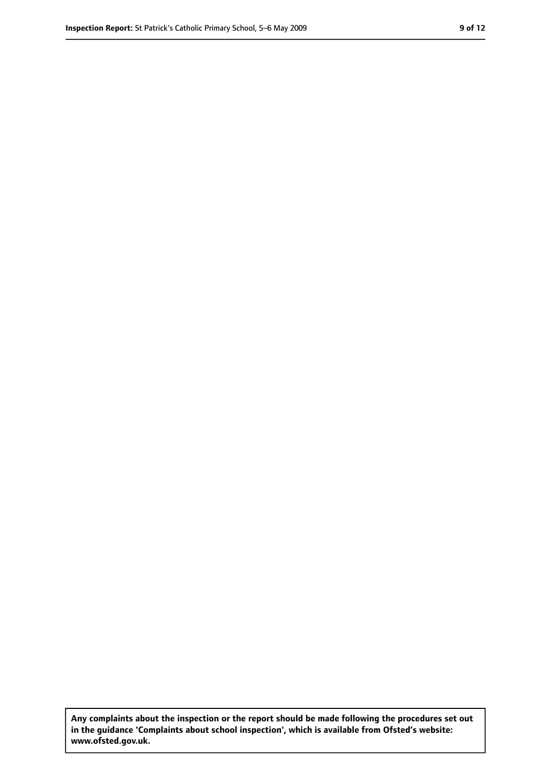**Any complaints about the inspection or the report should be made following the procedures set out in the guidance 'Complaints about school inspection', which is available from Ofsted's website: www.ofsted.gov.uk.**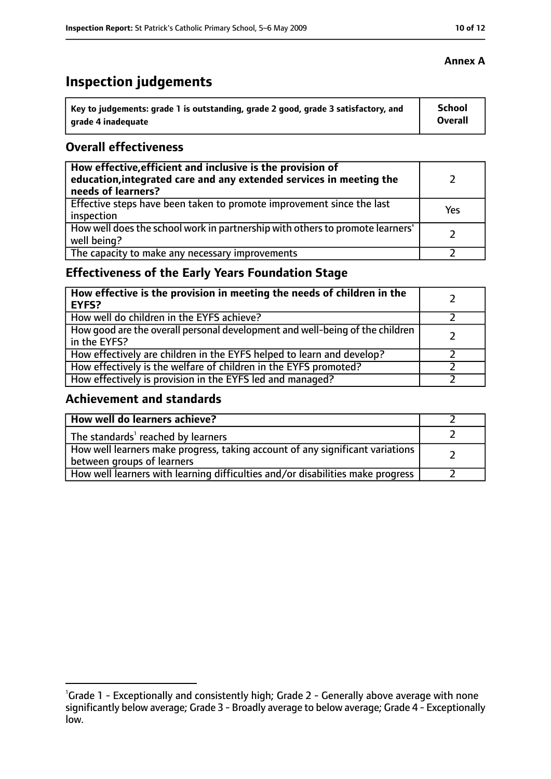# **Inspection judgements**

| Key to judgements: grade 1 is outstanding, grade 2 good, grade 3 satisfactory, and | School  |
|------------------------------------------------------------------------------------|---------|
| arade 4 inadequate                                                                 | Overall |

## **Overall effectiveness**

| How effective, efficient and inclusive is the provision of<br>education, integrated care and any extended services in meeting the<br>needs of learners? |     |
|---------------------------------------------------------------------------------------------------------------------------------------------------------|-----|
| Effective steps have been taken to promote improvement since the last<br>inspection                                                                     | Yes |
| How well does the school work in partnership with others to promote learners'<br>well being?                                                            |     |
| The capacity to make any necessary improvements                                                                                                         |     |

# **Effectiveness of the Early Years Foundation Stage**

| How effective is the provision in meeting the needs of children in the<br><b>EYFS?</b>       |  |
|----------------------------------------------------------------------------------------------|--|
| How well do children in the EYFS achieve?                                                    |  |
| How good are the overall personal development and well-being of the children<br>in the EYFS? |  |
| How effectively are children in the EYFS helped to learn and develop?                        |  |
| How effectively is the welfare of children in the EYFS promoted?                             |  |
| How effectively is provision in the EYFS led and managed?                                    |  |

# **Achievement and standards**

| How well do learners achieve?                                                                               |  |
|-------------------------------------------------------------------------------------------------------------|--|
| The standards <sup>1</sup> reached by learners                                                              |  |
| How well learners make progress, taking account of any significant variations<br>between groups of learners |  |
| How well learners with learning difficulties and/or disabilities make progress                              |  |

## **Annex A**

<sup>&</sup>lt;sup>1</sup>Grade 1 - Exceptionally and consistently high; Grade 2 - Generally above average with none significantly below average; Grade 3 - Broadly average to below average; Grade 4 - Exceptionally low.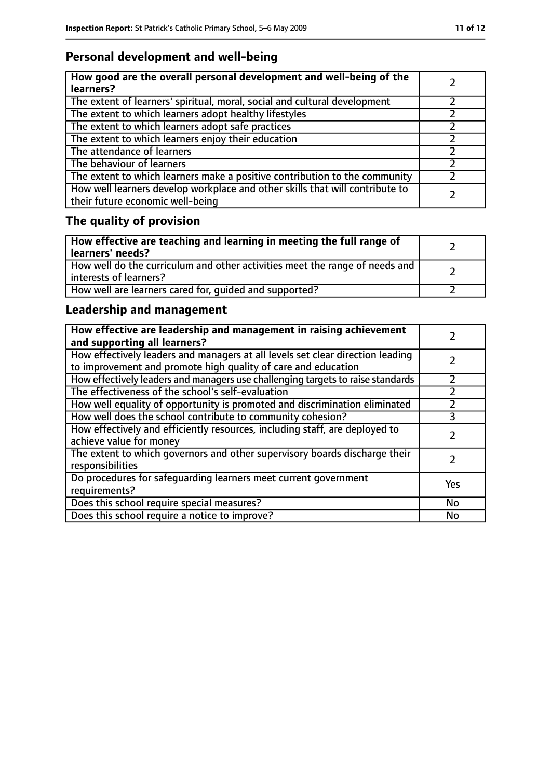# **Personal development and well-being**

| How good are the overall personal development and well-being of the<br>learners?                                 |  |
|------------------------------------------------------------------------------------------------------------------|--|
| The extent of learners' spiritual, moral, social and cultural development                                        |  |
| The extent to which learners adopt healthy lifestyles                                                            |  |
| The extent to which learners adopt safe practices                                                                |  |
| The extent to which learners enjoy their education                                                               |  |
| The attendance of learners                                                                                       |  |
| The behaviour of learners                                                                                        |  |
| The extent to which learners make a positive contribution to the community                                       |  |
| How well learners develop workplace and other skills that will contribute to<br>their future economic well-being |  |

# **The quality of provision**

| How effective are teaching and learning in meeting the full range of<br>learners' needs?              |  |
|-------------------------------------------------------------------------------------------------------|--|
| How well do the curriculum and other activities meet the range of needs and<br>interests of learners? |  |
| How well are learners cared for, quided and supported?                                                |  |

# **Leadership and management**

| How effective are leadership and management in raising achievement<br>and supporting all learners?                                              |     |
|-------------------------------------------------------------------------------------------------------------------------------------------------|-----|
| How effectively leaders and managers at all levels set clear direction leading<br>to improvement and promote high quality of care and education |     |
| How effectively leaders and managers use challenging targets to raise standards                                                                 |     |
| The effectiveness of the school's self-evaluation                                                                                               |     |
| How well equality of opportunity is promoted and discrimination eliminated                                                                      |     |
| How well does the school contribute to community cohesion?                                                                                      | 3   |
| How effectively and efficiently resources, including staff, are deployed to<br>achieve value for money                                          |     |
| The extent to which governors and other supervisory boards discharge their<br>responsibilities                                                  |     |
| Do procedures for safequarding learners meet current government<br>requirements?                                                                | Yes |
| Does this school require special measures?                                                                                                      | No  |
| Does this school require a notice to improve?                                                                                                   | No  |